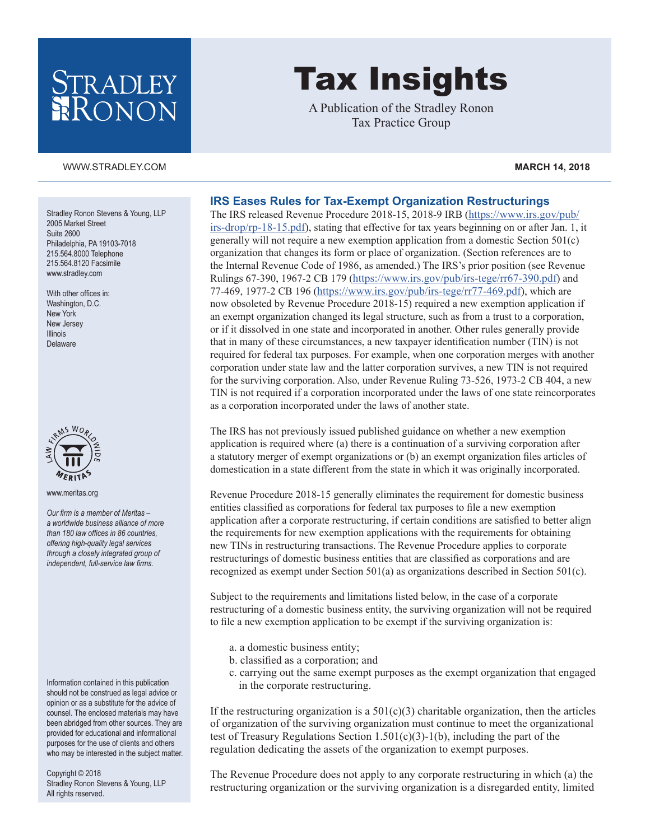# STRADLEY RONON

# Tax Insights

A Publication of the Stradley Ronon Tax Practice Group

#### [WWW.STRADLEY.COM](www.stradley.com) **MARCH 14, 2018**

Stradley Ronon Stevens & Young, LLP 2005 Market Street Suite 2600 Philadelphia, PA 19103-7018 215.564.8000 Telephone 215.564.8120 Facsimile [www.stradley.com](http://www.stradley.com)

With other offices in: Washington, D.C. New York New Jersey Illinois Delaware



[www.meritas.org](http://www.meritas.org)

*Our firm is a member of Meritas – a worldwide business alliance of more than 180 law offices in 86 countries, offering high-quality legal services through a closely integrated group of independent, full-service law firms.*

Information contained in this publication should not be construed as legal advice or opinion or as a substitute for the advice of counsel. The enclosed materials may have been abridged from other sources. They are provided for educational and informational purposes for the use of clients and others who may be interested in the subject matter.

Copyright © 2018 Stradley Ronon Stevens & Young, LLP All rights reserved.

## **IRS Eases Rules for Tax-Exempt Organization Restructurings**

The IRS released Revenue Procedure 2018-15, 2018-9 IRB ([https://www.irs.gov/pub/](https://www.irs.gov/pub/irs-drop/rp-18-15.pdf) [irs-drop/rp-18-15.pdf\)](https://www.irs.gov/pub/irs-drop/rp-18-15.pdf), stating that effective for tax years beginning on or after Jan. 1, it generally will not require a new exemption application from a domestic Section 501(c) organization that changes its form or place of organization. (Section references are to the Internal Revenue Code of 1986, as amended.) The IRS's prior position (see Revenue Rulings 67-390, 1967-2 CB 179 [\(https://www.irs.gov/pub/irs-tege/rr67-390.pdf\)](https://www.irs.gov/pub/irs-tege/rr67-390.pdf) and 77-469, 1977-2 CB 196 ([https://www.irs.gov/pub/irs-tege/rr77-469.pdf\)](https://www.irs.gov/pub/irs-tege/rr77-469.pdf), which are now obsoleted by Revenue Procedure 2018-15) required a new exemption application if an exempt organization changed its legal structure, such as from a trust to a corporation, or if it dissolved in one state and incorporated in another. Other rules generally provide that in many of these circumstances, a new taxpayer identification number (TIN) is not required for federal tax purposes. For example, when one corporation merges with another corporation under state law and the latter corporation survives, a new TIN is not required for the surviving corporation. Also, under Revenue Ruling 73-526, 1973-2 CB 404, a new TIN is not required if a corporation incorporated under the laws of one state reincorporates as a corporation incorporated under the laws of another state.

The IRS has not previously issued published guidance on whether a new exemption application is required where (a) there is a continuation of a surviving corporation after a statutory merger of exempt organizations or (b) an exempt organization files articles of domestication in a state different from the state in which it was originally incorporated.

Revenue Procedure 2018-15 generally eliminates the requirement for domestic business entities classified as corporations for federal tax purposes to file a new exemption application after a corporate restructuring, if certain conditions are satisfied to better align the requirements for new exemption applications with the requirements for obtaining new TINs in restructuring transactions. The Revenue Procedure applies to corporate restructurings of domestic business entities that are classified as corporations and are recognized as exempt under Section 501(a) as organizations described in Section 501(c).

Subject to the requirements and limitations listed below, in the case of a corporate restructuring of a domestic business entity, the surviving organization will not be required to file a new exemption application to be exempt if the surviving organization is:

- a. a domestic business entity;
- b. classified as a corporation; and
- c. carrying out the same exempt purposes as the exempt organization that engaged in the corporate restructuring.

If the restructuring organization is a  $501(c)(3)$  charitable organization, then the articles of organization of the surviving organization must continue to meet the organizational test of Treasury Regulations Section 1.501(c)(3)-1(b), including the part of the regulation dedicating the assets of the organization to exempt purposes.

The Revenue Procedure does not apply to any corporate restructuring in which (a) the restructuring organization or the surviving organization is a disregarded entity, limited